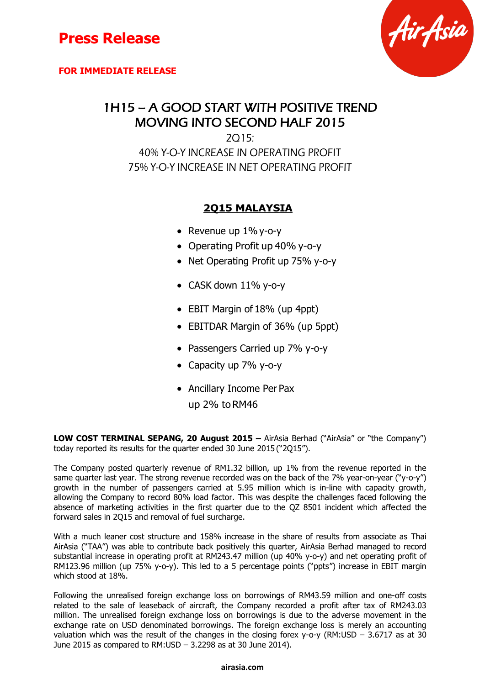



### 1H15 – A GOOD START WITH POSITIVE TREND MOVING INTO SECOND HALF 2015

2Q15: 40% Y-O-Y INCREASE IN OPERATING PROFIT 75% Y-O-Y INCREASE IN NET OPERATING PROFIT

### **2Q15 MALAYSIA**

- Revenue up  $1\%$  y-o-y
- Operating Profit up 40% y-o-y
- Net Operating Profit up 75% y-o-y
- CASK down 11% y-o-y
- EBIT Margin of 18% (up 4ppt)
- EBITDAR Margin of 36% (up 5ppt)
- Passengers Carried up 7% y-o-y
- Capacity up 7% y-o-y
- Ancillary Income Per Pax
	- up 2% toRM46

**LOW COST TERMINAL SEPANG, 20 August 2015 – AirAsia Berhad ("AirAsia" or "the Company")** today reported its results for the quarter ended 30 June 2015 ("2Q15").

The Company posted quarterly revenue of RM1.32 billion, up 1% from the revenue reported in the same quarter last year. The strong revenue recorded was on the back of the 7% year-on-year ("y-o-y") growth in the number of passengers carried at 5.95 million which is in-line with capacity growth, allowing the Company to record 80% load factor. This was despite the challenges faced following the absence of marketing activities in the first quarter due to the QZ 8501 incident which affected the forward sales in 2Q15 and removal of fuel surcharge.

With a much leaner cost structure and 158% increase in the share of results from associate as Thai AirAsia ("TAA") was able to contribute back positively this quarter, AirAsia Berhad managed to record substantial increase in operating profit at RM243.47 million (up 40% y-o-y) and net operating profit of RM123.96 million (up 75% y-o-y). This led to a 5 percentage points ("ppts") increase in EBIT margin which stood at 18%.

Following the unrealised foreign exchange loss on borrowings of RM43.59 million and one-off costs related to the sale of leaseback of aircraft, the Company recorded a profit after tax of RM243.03 million. The unrealised foreign exchange loss on borrowings is due to the adverse movement in the exchange rate on USD denominated borrowings. The foreign exchange loss is merely an accounting valuation which was the result of the changes in the closing forex y-o-y (RM:USD – 3.6717 as at 30 June 2015 as compared to RM:USD – 3.2298 as at 30 June 2014).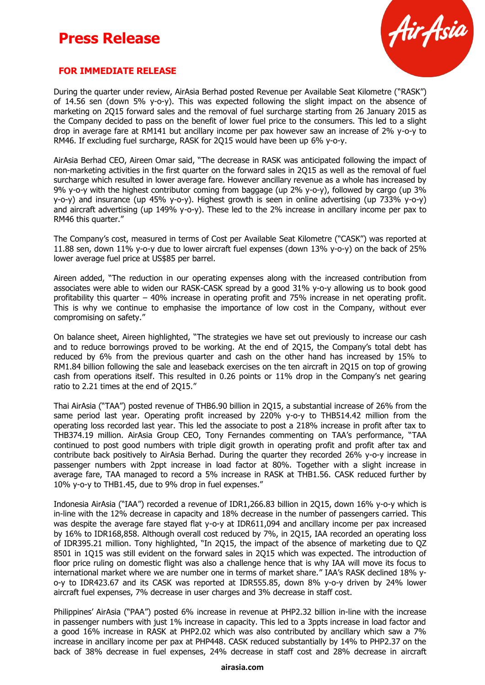

#### **FOR IMMEDIATE RELEASE**

During the quarter under review, AirAsia Berhad posted Revenue per Available Seat Kilometre ("RASK") of 14.56 sen (down 5% y-o-y). This was expected following the slight impact on the absence of marketing on 2Q15 forward sales and the removal of fuel surcharge starting from 26 January 2015 as the Company decided to pass on the benefit of lower fuel price to the consumers. This led to a slight drop in average fare at RM141 but ancillary income per pax however saw an increase of 2% y-o-y to RM46. If excluding fuel surcharge, RASK for 2Q15 would have been up 6% y-o-y.

AirAsia Berhad CEO, Aireen Omar said, "The decrease in RASK was anticipated following the impact of non-marketing activities in the first quarter on the forward sales in 2Q15 as well as the removal of fuel surcharge which resulted in lower average fare. However ancillary revenue as a whole has increased by 9% y-o-y with the highest contributor coming from baggage (up 2% y-o-y), followed by cargo (up 3% y-o-y) and insurance (up 45% y-o-y). Highest growth is seen in online advertising (up 733% y-o-y) and aircraft advertising (up 149% y-o-y). These led to the 2% increase in ancillary income per pax to RM46 this quarter."

The Company's cost, measured in terms of Cost per Available Seat Kilometre ("CASK") was reported at 11.88 sen, down 11% y-o-y due to lower aircraft fuel expenses (down 13% y-o-y) on the back of 25% lower average fuel price at US\$85 per barrel.

Aireen added, "The reduction in our operating expenses along with the increased contribution from associates were able to widen our RASK-CASK spread by a good 31% y-o-y allowing us to book good profitability this quarter – 40% increase in operating profit and 75% increase in net operating profit. This is why we continue to emphasise the importance of low cost in the Company, without ever compromising on safety."

On balance sheet, Aireen highlighted, "The strategies we have set out previously to increase our cash and to reduce borrowings proved to be working. At the end of 2Q15, the Company's total debt has reduced by 6% from the previous quarter and cash on the other hand has increased by 15% to RM1.84 billion following the sale and leaseback exercises on the ten aircraft in 2Q15 on top of growing cash from operations itself. This resulted in 0.26 points or 11% drop in the Company's net gearing ratio to 2.21 times at the end of 2Q15."

Thai AirAsia ("TAA") posted revenue of THB6.90 billion in 2Q15, a substantial increase of 26% from the same period last year. Operating profit increased by 220% y-o-y to THB514.42 million from the operating loss recorded last year. This led the associate to post a 218% increase in profit after tax to THB374.19 million. AirAsia Group CEO, Tony Fernandes commenting on TAA's performance, "TAA continued to post good numbers with triple digit growth in operating profit and profit after tax and contribute back positively to AirAsia Berhad. During the quarter they recorded 26% y-o-y increase in passenger numbers with 2ppt increase in load factor at 80%. Together with a slight increase in average fare, TAA managed to record a 5% increase in RASK at THB1.56. CASK reduced further by 10% y-o-y to THB1.45, due to 9% drop in fuel expenses."

Indonesia AirAsia ("IAA") recorded a revenue of IDR1,266.83 billion in 2Q15, down 16% y-o-y which is in-line with the 12% decrease in capacity and 18% decrease in the number of passengers carried. This was despite the average fare stayed flat y-o-y at IDR611,094 and ancillary income per pax increased by 16% to IDR168,858. Although overall cost reduced by 7%, in 2Q15, IAA recorded an operating loss of IDR395.21 million. Tony highlighted, "In 2Q15, the impact of the absence of marketing due to QZ 8501 in 1Q15 was still evident on the forward sales in 2Q15 which was expected. The introduction of floor price ruling on domestic flight was also a challenge hence that is why IAA will move its focus to international market where we are number one in terms of market share." IAA's RASK declined 18% yo-y to IDR423.67 and its CASK was reported at IDR555.85, down 8% y-o-y driven by 24% lower aircraft fuel expenses, 7% decrease in user charges and 3% decrease in staff cost.

Philippines' AirAsia ("PAA") posted 6% increase in revenue at PHP2.32 billion in-line with the increase in passenger numbers with just 1% increase in capacity. This led to a 3ppts increase in load factor and a good 16% increase in RASK at PHP2.02 which was also contributed by ancillary which saw a 7% increase in ancillary income per pax at PHP448. CASK reduced substantially by 14% to PHP2.37 on the back of 38% decrease in fuel expenses, 24% decrease in staff cost and 28% decrease in aircraft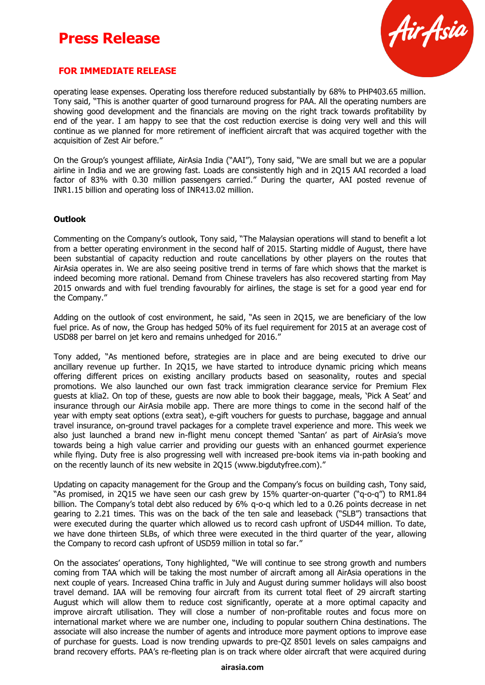

#### **FOR IMMEDIATE RELEASE**

operating lease expenses. Operating loss therefore reduced substantially by 68% to PHP403.65 million. Tony said, "This is another quarter of good turnaround progress for PAA. All the operating numbers are showing good development and the financials are moving on the right track towards profitability by end of the year. I am happy to see that the cost reduction exercise is doing very well and this will continue as we planned for more retirement of inefficient aircraft that was acquired together with the acquisition of Zest Air before."

On the Group's youngest affiliate, AirAsia India ("AAI"), Tony said, "We are small but we are a popular airline in India and we are growing fast. Loads are consistently high and in 2Q15 AAI recorded a load factor of 83% with 0.30 million passengers carried." During the quarter, AAI posted revenue of INR1.15 billion and operating loss of INR413.02 million.

#### **Outlook**

Commenting on the Company's outlook, Tony said, "The Malaysian operations will stand to benefit a lot from a better operating environment in the second half of 2015. Starting middle of August, there have been substantial of capacity reduction and route cancellations by other players on the routes that AirAsia operates in. We are also seeing positive trend in terms of fare which shows that the market is indeed becoming more rational. Demand from Chinese travelers has also recovered starting from May 2015 onwards and with fuel trending favourably for airlines, the stage is set for a good year end for the Company."

Adding on the outlook of cost environment, he said, "As seen in 2Q15, we are beneficiary of the low fuel price. As of now, the Group has hedged 50% of its fuel requirement for 2015 at an average cost of USD88 per barrel on jet kero and remains unhedged for 2016."

Tony added, "As mentioned before, strategies are in place and are being executed to drive our ancillary revenue up further. In 2Q15, we have started to introduce dynamic pricing which means offering different prices on existing ancillary products based on seasonality, routes and special promotions. We also launched our own fast track immigration clearance service for Premium Flex guests at klia2. On top of these, guests are now able to book their baggage, meals, 'Pick A Seat' and insurance through our AirAsia mobile app. There are more things to come in the second half of the year with empty seat options (extra seat), e-gift vouchers for guests to purchase, baggage and annual travel insurance, on-ground travel packages for a complete travel experience and more. This week we also just launched a brand new in-flight menu concept themed 'Santan' as part of AirAsia's move towards being a high value carrier and providing our guests with an enhanced gourmet experience while flying. Duty free is also progressing well with increased pre-book items via in-path booking and on the recently launch of its new website in 2Q15 (www.bigdutyfree.com)."

Updating on capacity management for the Group and the Company's focus on building cash, Tony said, "As promised, in 2Q15 we have seen our cash grew by 15% quarter-on-quarter ("q-o-q") to RM1.84 billion. The Company's total debt also reduced by 6% q-o-q which led to a 0.26 points decrease in net gearing to 2.21 times. This was on the back of the ten sale and leaseback ("SLB") transactions that were executed during the quarter which allowed us to record cash upfront of USD44 million. To date, we have done thirteen SLBs, of which three were executed in the third quarter of the year, allowing the Company to record cash upfront of USD59 million in total so far."

On the associates' operations, Tony highlighted, "We will continue to see strong growth and numbers coming from TAA which will be taking the most number of aircraft among all AirAsia operations in the next couple of years. Increased China traffic in July and August during summer holidays will also boost travel demand. IAA will be removing four aircraft from its current total fleet of 29 aircraft starting August which will allow them to reduce cost significantly, operate at a more optimal capacity and improve aircraft utilisation. They will close a number of non-profitable routes and focus more on international market where we are number one, including to popular southern China destinations. The associate will also increase the number of agents and introduce more payment options to improve ease of purchase for guests. Load is now trending upwards to pre-QZ 8501 levels on sales campaigns and brand recovery efforts. PAA's re-fleeting plan is on track where older aircraft that were acquired during